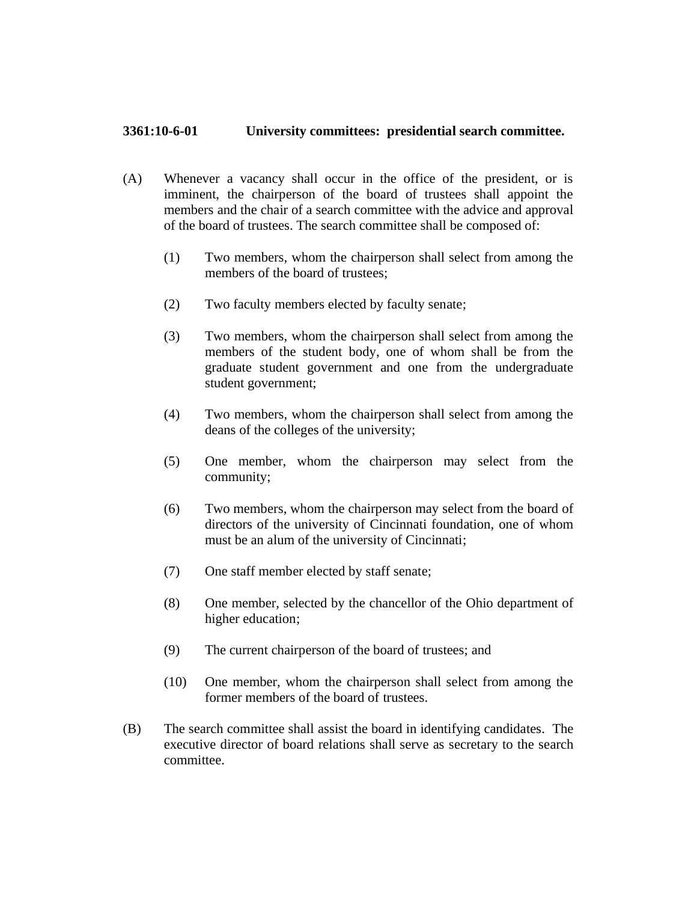## **3361:10-6-01 University committees: presidential search committee.**

- (A) Whenever a vacancy shall occur in the office of the president, or is imminent, the chairperson of the board of trustees shall appoint the members and the chair of a search committee with the advice and approval of the board of trustees. The search committee shall be composed of:
	- (1) Two members, whom the chairperson shall select from among the members of the board of trustees;
	- (2) Two faculty members elected by faculty senate;
	- (3) Two members, whom the chairperson shall select from among the members of the student body, one of whom shall be from the graduate student government and one from the undergraduate student government;
	- (4) Two members, whom the chairperson shall select from among the deans of the colleges of the university;
	- (5) One member, whom the chairperson may select from the community;
	- (6) Two members, whom the chairperson may select from the board of directors of the university of Cincinnati foundation, one of whom must be an alum of the university of Cincinnati;
	- (7) One staff member elected by staff senate;
	- (8) One member, selected by the chancellor of the Ohio department of higher education;
	- (9) The current chairperson of the board of trustees; and
	- (10) One member, whom the chairperson shall select from among the former members of the board of trustees.
- (B) The search committee shall assist the board in identifying candidates. The executive director of board relations shall serve as secretary to the search committee.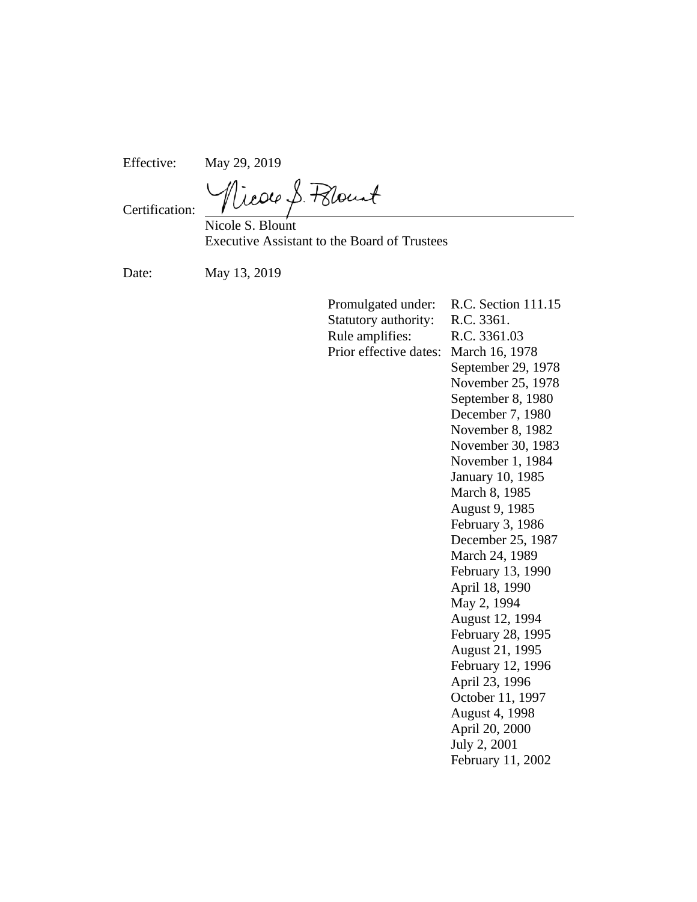Effective: May 29, 2019

Vicor S. Polount

Certification:

Nicole S. Blount Executive Assistant to the Board of Trustees

Date: May 13, 2019

Promulgated under: R.C. Section 111.15 Statutory authority: R.C. 3361. Rule amplifies: R.C. 3361.03 Prior effective dates: March 16, 1978 September 29, 1978 November 25, 1978 September 8, 1980 December 7, 1980 November 8, 1982 November 30, 1983 November 1, 1984 January 10, 1985 March 8, 1985 August 9, 1985 February 3, 1986 December 25, 1987 March 24, 1989 February 13, 1990 April 18, 1990 May 2, 1994 August 12, 1994 February 28, 1995 August 21, 1995 February 12, 1996 April 23, 1996 October 11, 1997 August 4, 1998 April 20, 2000 July 2, 2001 February 11, 2002